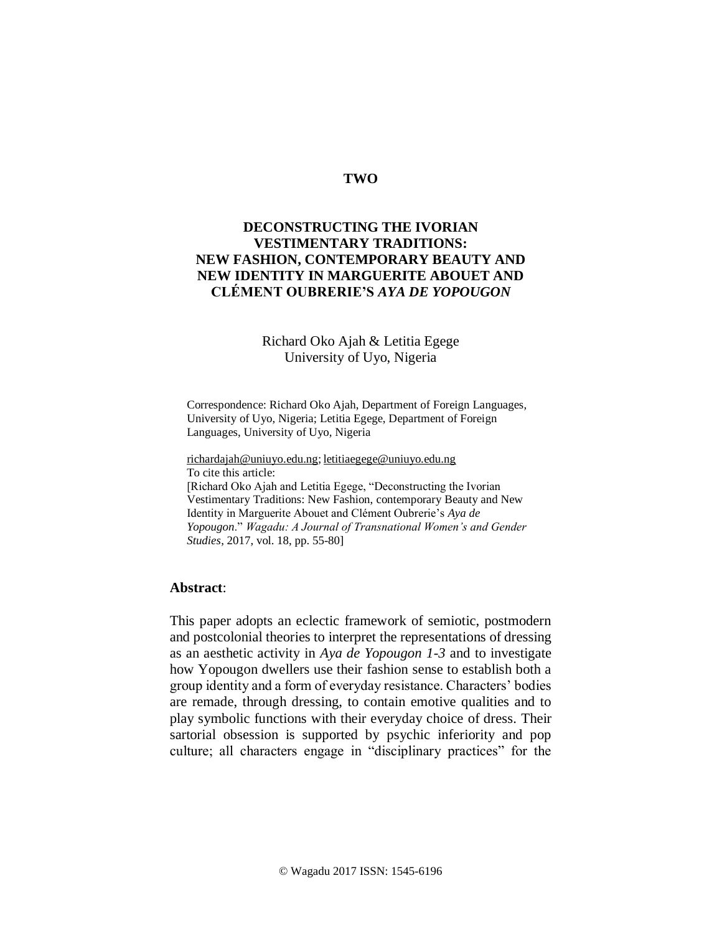## **TWO**

# **DECONSTRUCTING THE IVORIAN VESTIMENTARY TRADITIONS: NEW FASHION, CONTEMPORARY BEAUTY AND NEW IDENTITY IN MARGUERITE ABOUET AND CLÉMENT OUBRERIE'S** *AYA DE YOPOUGON*

# Richard Oko Ajah & Letitia Egege University of Uyo, Nigeria

Correspondence: Richard Oko Ajah, Department of Foreign Languages, University of Uyo, Nigeria; Letitia Egege, Department of Foreign Languages, University of Uyo, Nigeria

[richardajah@uniuyo.edu.ng;](mailto:richardajah@uniuyo.edu.ng) [letitiaegege@uniuyo.edu.ng](mailto:letitiaegege@uniuyo.edu.ng) To cite this article:

[Richard Oko Ajah and Letitia Egege, "Deconstructing the Ivorian Vestimentary Traditions: New Fashion, contemporary Beauty and New Identity in Marguerite Abouet and Clément Oubrerie's *Aya de Yopougon*." *Wagadu: A Journal of Transnational Women's and Gender Studies*, 2017, vol. 18, pp. 55-80]

#### **Abstract**:

This paper adopts an eclectic framework of semiotic, postmodern and postcolonial theories to interpret the representations of dressing as an aesthetic activity in *Aya de Yopougon 1-3* and to investigate how Yopougon dwellers use their fashion sense to establish both a group identity and a form of everyday resistance. Characters' bodies are remade, through dressing, to contain emotive qualities and to play symbolic functions with their everyday choice of dress. Their sartorial obsession is supported by psychic inferiority and pop culture; all characters engage in "disciplinary practices" for the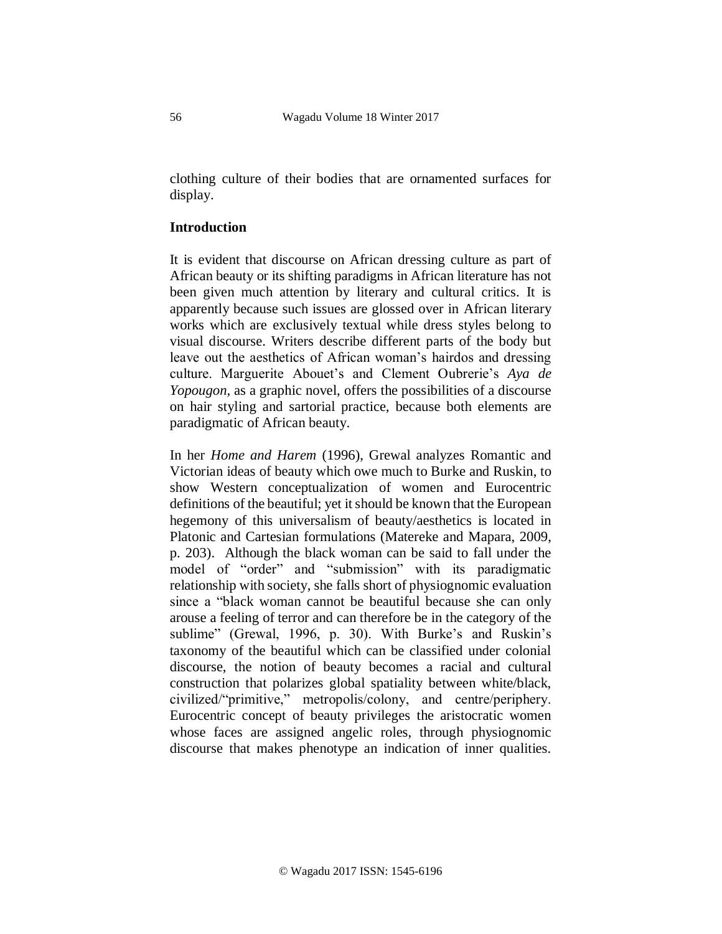clothing culture of their bodies that are ornamented surfaces for display.

## **Introduction**

It is evident that discourse on African dressing culture as part of African beauty or its shifting paradigms in African literature has not been given much attention by literary and cultural critics. It is apparently because such issues are glossed over in African literary works which are exclusively textual while dress styles belong to visual discourse. Writers describe different parts of the body but leave out the aesthetics of African woman's hairdos and dressing culture. Marguerite Abouet's and Clement Oubrerie's *Aya de Yopougon,* as a graphic novel, offers the possibilities of a discourse on hair styling and sartorial practice, because both elements are paradigmatic of African beauty.

In her *Home and Harem* (1996), Grewal analyzes Romantic and Victorian ideas of beauty which owe much to Burke and Ruskin, to show Western conceptualization of women and Eurocentric definitions of the beautiful; yet it should be known that the European hegemony of this universalism of beauty/aesthetics is located in Platonic and Cartesian formulations (Matereke and Mapara, 2009, p. 203). Although the black woman can be said to fall under the model of "order" and "submission" with its paradigmatic relationship with society, she falls short of physiognomic evaluation since a "black woman cannot be beautiful because she can only arouse a feeling of terror and can therefore be in the category of the sublime" (Grewal, 1996, p. 30). With Burke's and Ruskin's taxonomy of the beautiful which can be classified under colonial discourse, the notion of beauty becomes a racial and cultural construction that polarizes global spatiality between white/black, civilized/"primitive," metropolis/colony, and centre/periphery. Eurocentric concept of beauty privileges the aristocratic women whose faces are assigned angelic roles, through physiognomic discourse that makes phenotype an indication of inner qualities.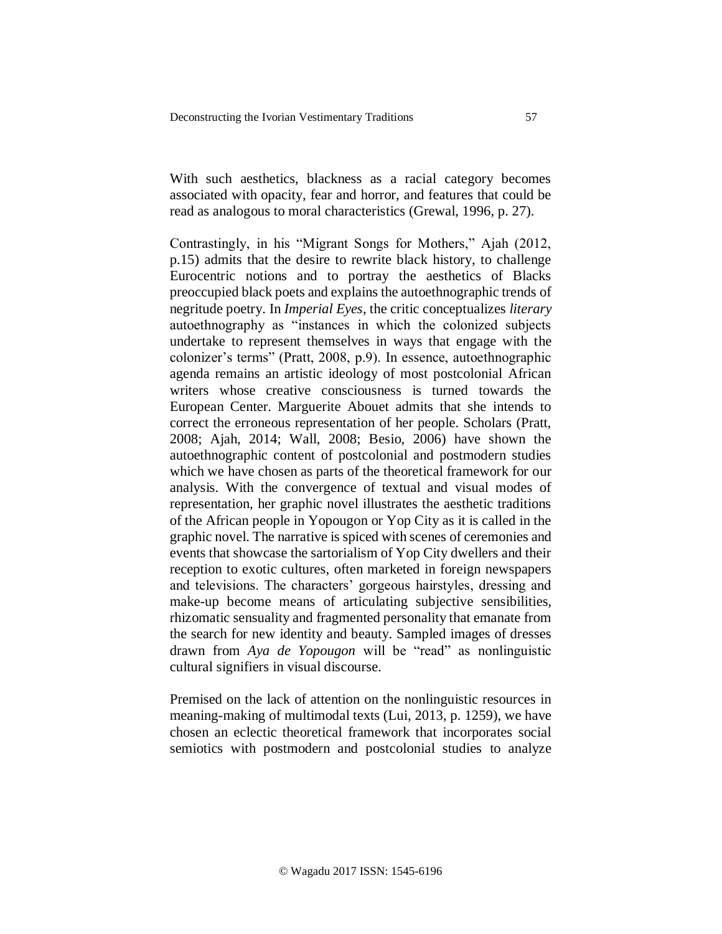With such aesthetics, blackness as a racial category becomes associated with opacity, fear and horror, and features that could be read as analogous to moral characteristics (Grewal, 1996, p. 27).

Contrastingly, in his "Migrant Songs for Mothers," Ajah (2012, p.15) admits that the desire to rewrite black history, to challenge Eurocentric notions and to portray the aesthetics of Blacks preoccupied black poets and explains the autoethnographic trends of negritude poetry. In *Imperial Eyes*, the critic conceptualizes *literary* autoethnography as "instances in which the colonized subjects undertake to represent themselves in ways that engage with the colonizer's terms" (Pratt, 2008, p.9). In essence, autoethnographic agenda remains an artistic ideology of most postcolonial African writers whose creative consciousness is turned towards the European Center. Marguerite Abouet admits that she intends to correct the erroneous representation of her people. Scholars (Pratt, 2008; Ajah, 2014; Wall, 2008; Besio, 2006) have shown the autoethnographic content of postcolonial and postmodern studies which we have chosen as parts of the theoretical framework for our analysis. With the convergence of textual and visual modes of representation, her graphic novel illustrates the aesthetic traditions of the African people in Yopougon or Yop City as it is called in the graphic novel. The narrative is spiced with scenes of ceremonies and events that showcase the sartorialism of Yop City dwellers and their reception to exotic cultures, often marketed in foreign newspapers and televisions. The characters' gorgeous hairstyles, dressing and make-up become means of articulating subjective sensibilities, rhizomatic sensuality and fragmented personality that emanate from the search for new identity and beauty. Sampled images of dresses drawn from *Aya de Yopougon* will be "read" as nonlinguistic cultural signifiers in visual discourse.

Premised on the lack of attention on the nonlinguistic resources in meaning-making of multimodal texts (Lui, 2013, p. 1259), we have chosen an eclectic theoretical framework that incorporates social semiotics with postmodern and postcolonial studies to analyze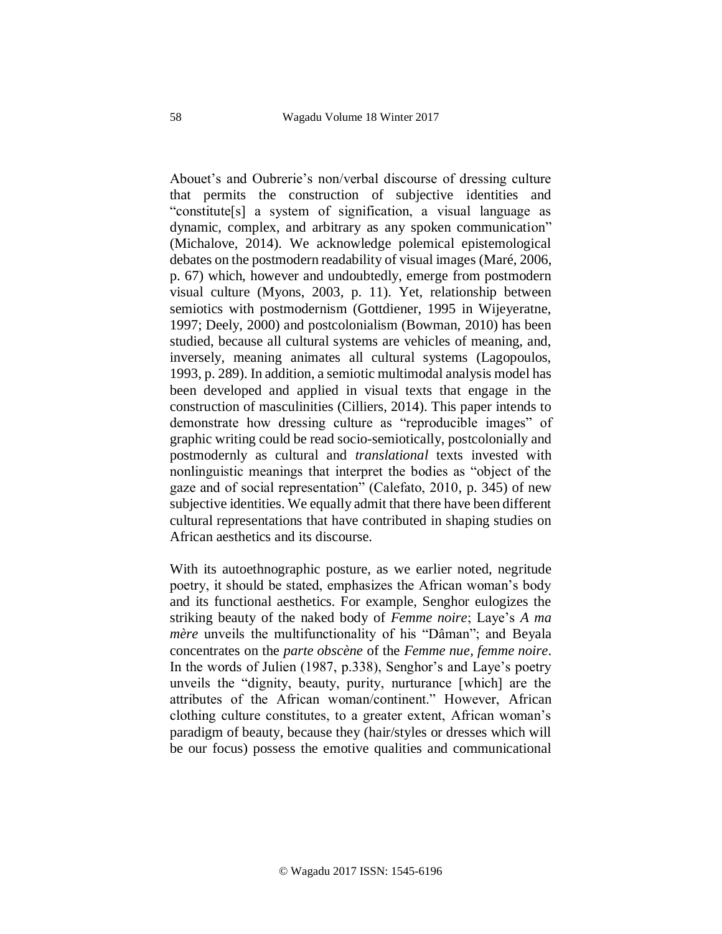Abouet's and Oubrerie's non/verbal discourse of dressing culture that permits the construction of subjective identities and "constitute[s] a system of signification, a visual language as dynamic, complex, and arbitrary as any spoken communication" (Michalove, 2014). We acknowledge polemical epistemological debates on the postmodern readability of visual images (Maré, 2006, p. 67) which, however and undoubtedly, emerge from postmodern visual culture (Myons, 2003, p. 11). Yet, relationship between semiotics with postmodernism (Gottdiener, 1995 in Wijeyeratne, 1997; Deely, 2000) and postcolonialism (Bowman, 2010) has been studied, because all cultural systems are vehicles of meaning, and, inversely, meaning animates all cultural systems (Lagopoulos, 1993, p. 289). In addition, a semiotic multimodal analysis model has been developed and applied in visual texts that engage in the construction of masculinities (Cilliers, 2014). This paper intends to demonstrate how dressing culture as "reproducible images" of graphic writing could be read socio-semiotically, postcolonially and postmodernly as cultural and *translational* texts invested with nonlinguistic meanings that interpret the bodies as "object of the gaze and of social representation" (Calefato, 2010, p. 345) of new subjective identities. We equally admit that there have been different cultural representations that have contributed in shaping studies on African aesthetics and its discourse.

With its autoethnographic posture, as we earlier noted, negritude poetry, it should be stated, emphasizes the African woman's body and its functional aesthetics. For example, Senghor eulogizes the striking beauty of the naked body of *Femme noire*; Laye's *A ma mère* unveils the multifunctionality of his "Dâman"; and Beyala concentrates on the *parte obscène* of the *Femme nue, femme noire*. In the words of Julien (1987, p.338), Senghor's and Laye's poetry unveils the "dignity, beauty, purity, nurturance [which] are the attributes of the African woman/continent." However, African clothing culture constitutes, to a greater extent, African woman's paradigm of beauty, because they (hair/styles or dresses which will be our focus) possess the emotive qualities and communicational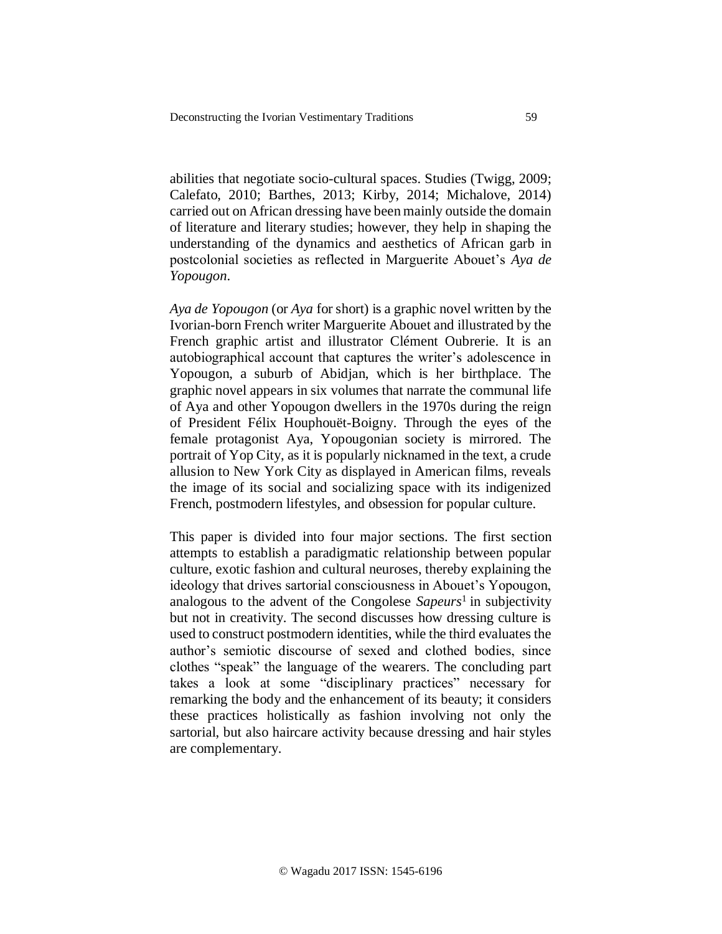abilities that negotiate socio-cultural spaces. Studies (Twigg, 2009; Calefato, 2010; Barthes, 2013; Kirby, 2014; Michalove, 2014) carried out on African dressing have been mainly outside the domain of literature and literary studies; however, they help in shaping the understanding of the dynamics and aesthetics of African garb in postcolonial societies as reflected in Marguerite Abouet's *Aya de Yopougon*.

*Aya de Yopougon* (or *Aya* for short) is a graphic novel written by the Ivorian-born French writer Marguerite Abouet and illustrated by the French graphic artist and illustrator Clément Oubrerie. It is an autobiographical account that captures the writer's adolescence in Yopougon, a suburb of Abidjan, which is her birthplace. The graphic novel appears in six volumes that narrate the communal life of Aya and other Yopougon dwellers in the 1970s during the reign of President Félix Houphouët-Boigny. Through the eyes of the female protagonist Aya, Yopougonian society is mirrored. The portrait of Yop City, as it is popularly nicknamed in the text, a crude allusion to New York City as displayed in American films, reveals the image of its social and socializing space with its indigenized French, postmodern lifestyles, and obsession for popular culture.

This paper is divided into four major sections. The first section attempts to establish a paradigmatic relationship between popular culture, exotic fashion and cultural neuroses, thereby explaining the ideology that drives sartorial consciousness in Abouet's Yopougon, analogous to the advent of the Congolese *Sapeurs*<sup>1</sup> in subjectivity but not in creativity. The second discusses how dressing culture is used to construct postmodern identities, while the third evaluates the author's semiotic discourse of sexed and clothed bodies, since clothes "speak" the language of the wearers. The concluding part takes a look at some "disciplinary practices" necessary for remarking the body and the enhancement of its beauty; it considers these practices holistically as fashion involving not only the sartorial, but also haircare activity because dressing and hair styles are complementary.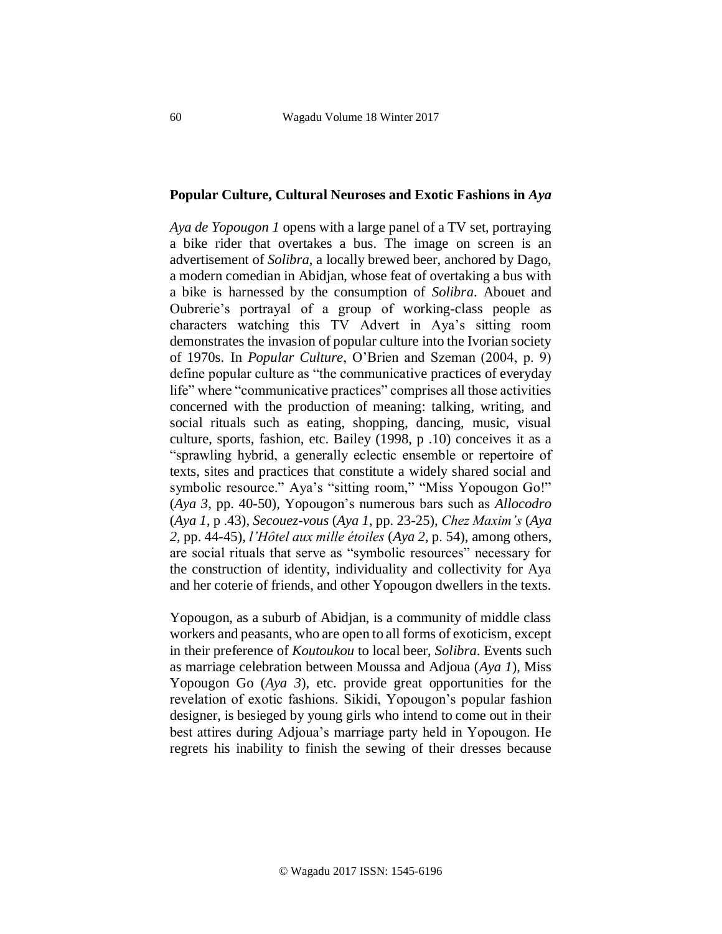## **Popular Culture, Cultural Neuroses and Exotic Fashions in** *Aya*

*Aya de Yopougon 1* opens with a large panel of a TV set, portraying a bike rider that overtakes a bus. The image on screen is an advertisement of *Solibra*, a locally brewed beer, anchored by Dago, a modern comedian in Abidjan, whose feat of overtaking a bus with a bike is harnessed by the consumption of *Solibra*. Abouet and Oubrerie's portrayal of a group of working-class people as characters watching this TV Advert in Aya's sitting room demonstrates the invasion of popular culture into the Ivorian society of 1970s. In *Popular Culture*, O'Brien and Szeman (2004, p. 9) define popular culture as "the communicative practices of everyday life" where "communicative practices" comprises all those activities concerned with the production of meaning: talking, writing, and social rituals such as eating, shopping, dancing, music, visual culture, sports, fashion, etc. Bailey (1998, p .10) conceives it as a "sprawling hybrid, a generally eclectic ensemble or repertoire of texts, sites and practices that constitute a widely shared social and symbolic resource." Aya's "sitting room," "Miss Yopougon Go!" (*Aya 3*, pp. 40-50), Yopougon's numerous bars such as *Allocodro* (*Aya 1*, p .43), *Secouez-vous* (*Aya 1*, pp. 23-25), *Chez Maxim's* (*Aya 2*, pp. 44-45), *l'Hôtel aux mille étoiles* (*Aya 2*, p. 54), among others, are social rituals that serve as "symbolic resources" necessary for the construction of identity, individuality and collectivity for Aya and her coterie of friends, and other Yopougon dwellers in the texts.

Yopougon, as a suburb of Abidjan, is a community of middle class workers and peasants, who are open to all forms of exoticism, except in their preference of *Koutoukou* to local beer, *Solibra*. Events such as marriage celebration between Moussa and Adjoua (*Aya 1*), Miss Yopougon Go (*Aya 3*), etc. provide great opportunities for the revelation of exotic fashions. Sikidi, Yopougon's popular fashion designer, is besieged by young girls who intend to come out in their best attires during Adjoua's marriage party held in Yopougon. He regrets his inability to finish the sewing of their dresses because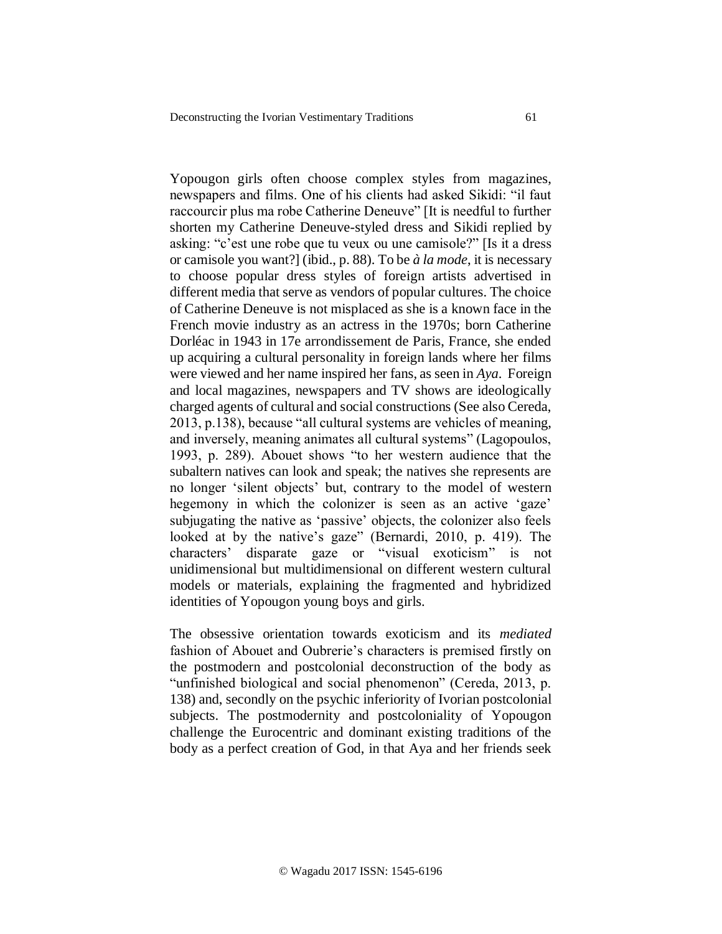Yopougon girls often choose complex styles from magazines, newspapers and films. One of his clients had asked Sikidi: "il faut raccourcir plus ma robe Catherine Deneuve" [It is needful to further shorten my Catherine Deneuve-styled dress and Sikidi replied by asking: "c'est une robe que tu veux ou une camisole?" [Is it a dress or camisole you want?] (ibid., p. 88). To be *à la mode*, it is necessary to choose popular dress styles of foreign artists advertised in different media that serve as vendors of popular cultures. The choice of Catherine Deneuve is not misplaced as she is a known face in the French movie industry as an actress in the 1970s; born Catherine Dorléac in 1943 in 17e arrondissement de Paris, France, she ended up acquiring a cultural personality in foreign lands where her films were viewed and her name inspired her fans, as seen in *Aya*. Foreign and local magazines, newspapers and TV shows are ideologically charged agents of cultural and social constructions (See also Cereda, 2013, p.138), because "all cultural systems are vehicles of meaning, and inversely, meaning animates all cultural systems" (Lagopoulos, 1993, p. 289). Abouet shows "to her western audience that the subaltern natives can look and speak; the natives she represents are no longer 'silent objects' but, contrary to the model of western hegemony in which the colonizer is seen as an active 'gaze' subjugating the native as 'passive' objects, the colonizer also feels looked at by the native's gaze" (Bernardi, 2010, p. 419). The characters' disparate gaze or "visual exoticism" is not unidimensional but multidimensional on different western cultural models or materials, explaining the fragmented and hybridized identities of Yopougon young boys and girls.

The obsessive orientation towards exoticism and its *mediated* fashion of Abouet and Oubrerie's characters is premised firstly on the postmodern and postcolonial deconstruction of the body as "unfinished biological and social phenomenon" (Cereda, 2013, p. 138) and, secondly on the psychic inferiority of Ivorian postcolonial subjects. The postmodernity and postcoloniality of Yopougon challenge the Eurocentric and dominant existing traditions of the body as a perfect creation of God, in that Aya and her friends seek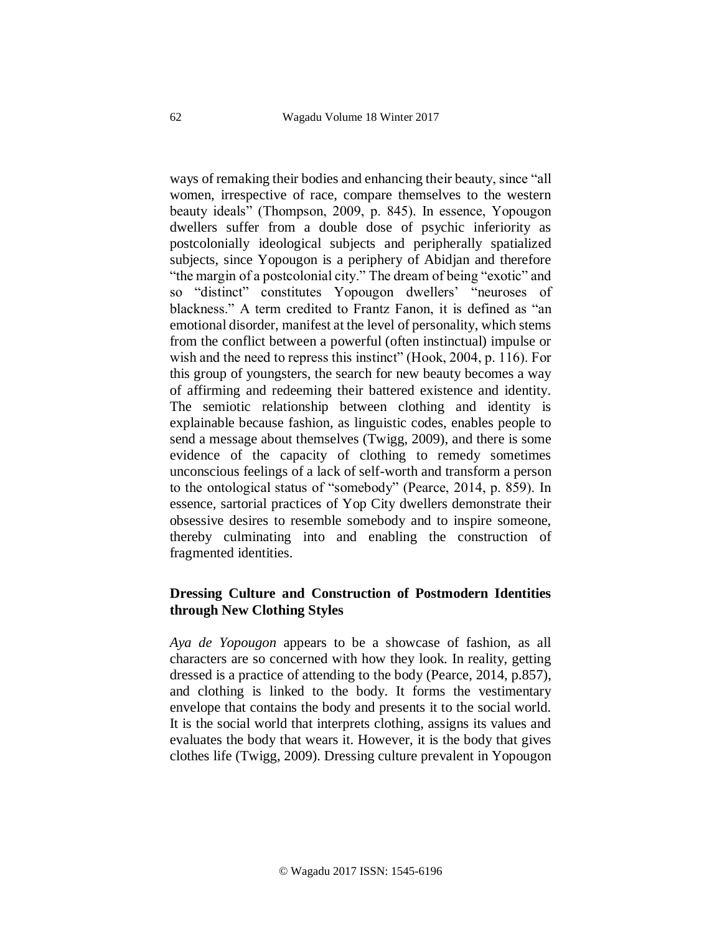ways of remaking their bodies and enhancing their beauty, since "all women, irrespective of race, compare themselves to the western beauty ideals" (Thompson, 2009, p. 845). In essence, Yopougon dwellers suffer from a double dose of psychic inferiority as postcolonially ideological subjects and peripherally spatialized subjects, since Yopougon is a periphery of Abidjan and therefore "the margin of a postcolonial city." The dream of being "exotic" and so "distinct" constitutes Yopougon dwellers' "neuroses of blackness." A term credited to Frantz Fanon, it is defined as "an emotional disorder, manifest at the level of personality, which stems from the conflict between a powerful (often instinctual) impulse or wish and the need to repress this instinct" (Hook, 2004, p. 116). For this group of youngsters, the search for new beauty becomes a way of affirming and redeeming their battered existence and identity. The semiotic relationship between clothing and identity is explainable because fashion, as linguistic codes, enables people to send a message about themselves (Twigg, 2009), and there is some evidence of the capacity of clothing to remedy sometimes unconscious feelings of a lack of self-worth and transform a person to the ontological status of "somebody" (Pearce, 2014, p. 859). In essence, sartorial practices of Yop City dwellers demonstrate their obsessive desires to resemble somebody and to inspire someone, thereby culminating into and enabling the construction of fragmented identities.

# **Dressing Culture and Construction of Postmodern Identities through New Clothing Styles**

*Aya de Yopougon* appears to be a showcase of fashion, as all characters are so concerned with how they look. In reality, getting dressed is a practice of attending to the body (Pearce, 2014, p.857), and clothing is linked to the body. It forms the vestimentary envelope that contains the body and presents it to the social world. It is the social world that interprets clothing, assigns its values and evaluates the body that wears it. However, it is the body that gives clothes life (Twigg, 2009). Dressing culture prevalent in Yopougon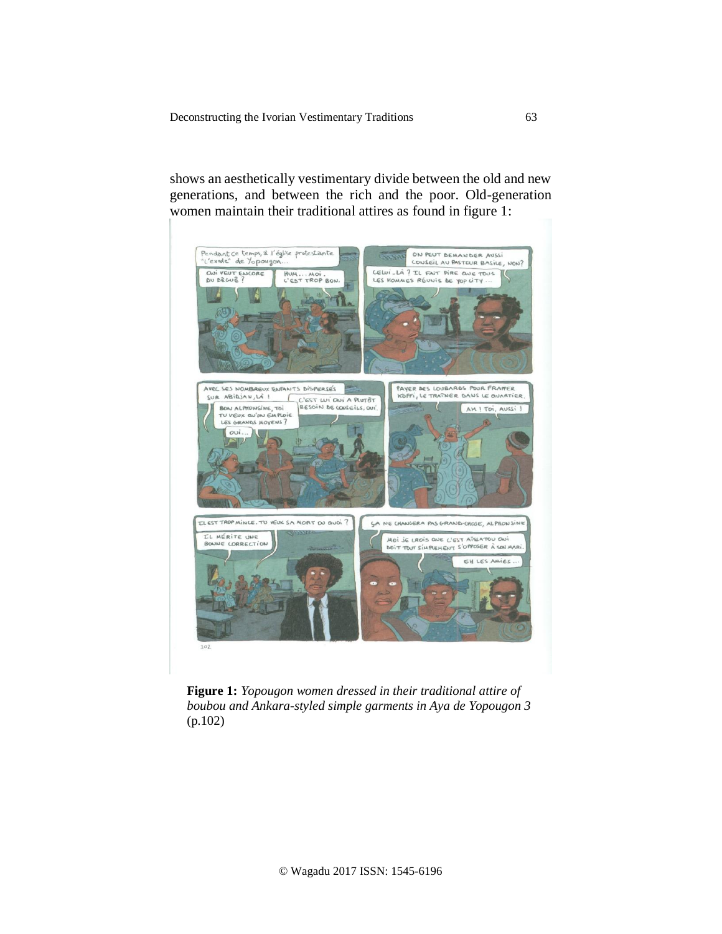shows an aesthetically vestimentary divide between the old and new generations, and between the rich and the poor. Old-generation women maintain their traditional attires as found in figure 1:



**Figure 1:** *Yopougon women dressed in their traditional attire of boubou and Ankara-styled simple garments in Aya de Yopougon 3*  (p.102)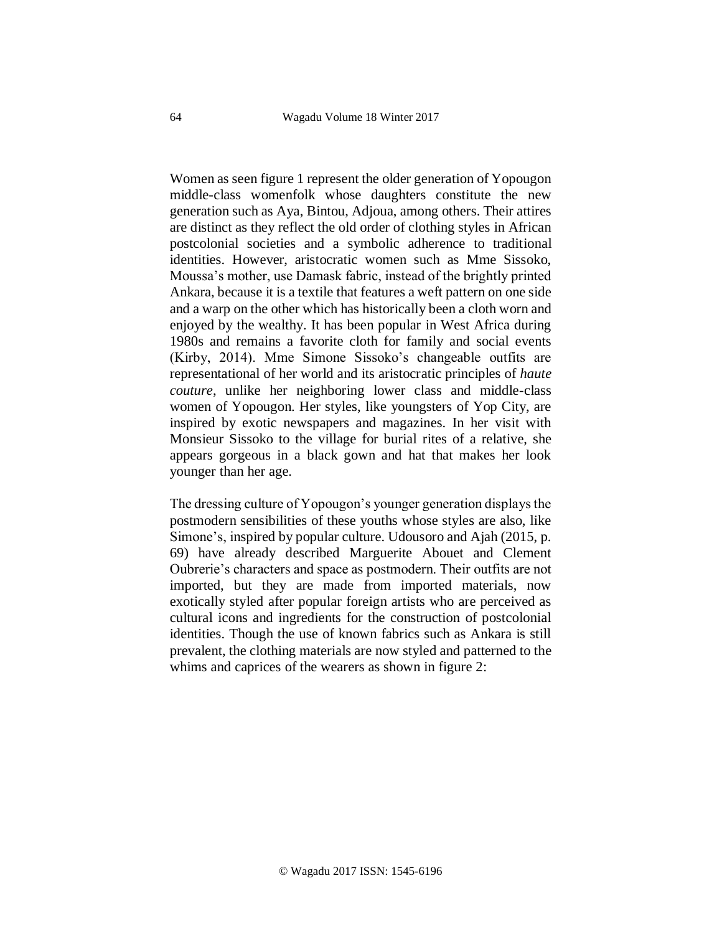Women as seen figure 1 represent the older generation of Yopougon middle-class womenfolk whose daughters constitute the new generation such as Aya, Bintou, Adjoua, among others. Their attires are distinct as they reflect the old order of clothing styles in African postcolonial societies and a symbolic adherence to traditional identities. However, aristocratic women such as Mme Sissoko, Moussa's mother, use Damask fabric, instead of the brightly printed Ankara, because it is a textile that features a weft pattern on one side and a warp on the other which has historically been a cloth worn and enjoyed by the wealthy. It has been popular in West Africa during 1980s and remains a favorite cloth for family and social events (Kirby, 2014). Mme Simone Sissoko's changeable outfits are representational of her world and its aristocratic principles of *haute couture*, unlike her neighboring lower class and middle-class women of Yopougon. Her styles, like youngsters of Yop City, are inspired by exotic newspapers and magazines. In her visit with Monsieur Sissoko to the village for burial rites of a relative, she appears gorgeous in a black gown and hat that makes her look younger than her age.

The dressing culture of Yopougon's younger generation displays the postmodern sensibilities of these youths whose styles are also, like Simone's, inspired by popular culture. Udousoro and Ajah (2015, p. 69) have already described Marguerite Abouet and Clement Oubrerie's characters and space as postmodern. Their outfits are not imported, but they are made from imported materials, now exotically styled after popular foreign artists who are perceived as cultural icons and ingredients for the construction of postcolonial identities. Though the use of known fabrics such as Ankara is still prevalent, the clothing materials are now styled and patterned to the whims and caprices of the wearers as shown in figure 2: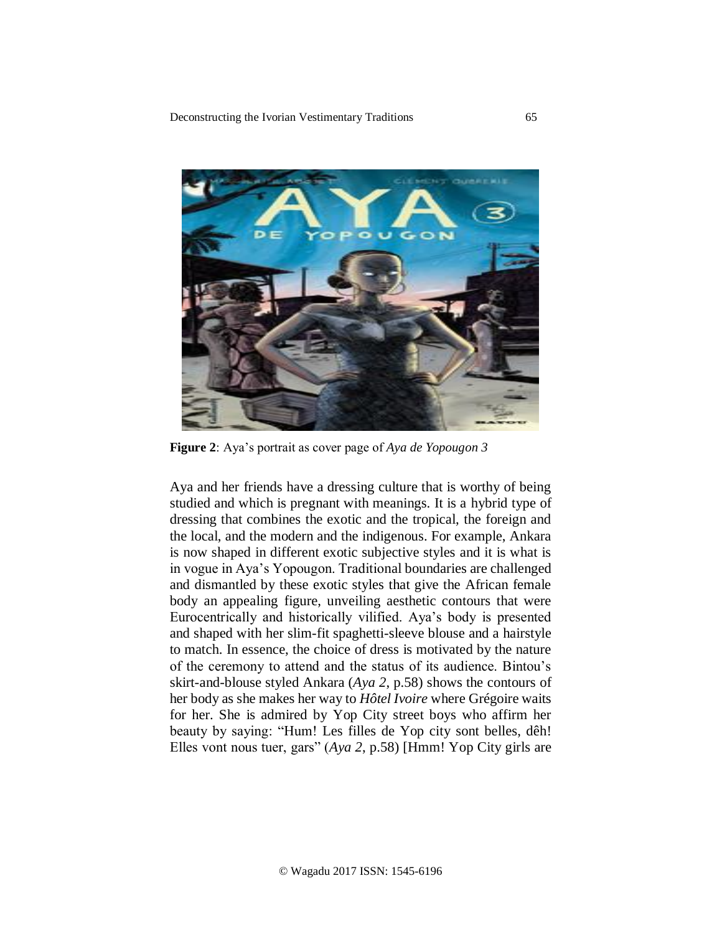

**Figure 2**: Aya's portrait as cover page of *Aya de Yopougon 3*

Aya and her friends have a dressing culture that is worthy of being studied and which is pregnant with meanings. It is a hybrid type of dressing that combines the exotic and the tropical, the foreign and the local, and the modern and the indigenous. For example, Ankara is now shaped in different exotic subjective styles and it is what is in vogue in Aya's Yopougon. Traditional boundaries are challenged and dismantled by these exotic styles that give the African female body an appealing figure, unveiling aesthetic contours that were Eurocentrically and historically vilified. Aya's body is presented and shaped with her slim-fit spaghetti-sleeve blouse and a hairstyle to match. In essence, the choice of dress is motivated by the nature of the ceremony to attend and the status of its audience. Bintou's skirt-and-blouse styled Ankara (*Aya 2*, p.58) shows the contours of her body as she makes her way to *Hôtel Ivoire* where Grégoire waits for her. She is admired by Yop City street boys who affirm her beauty by saying: "Hum! Les filles de Yop city sont belles, dêh! Elles vont nous tuer, gars" (*Aya 2*, p.58) [Hmm! Yop City girls are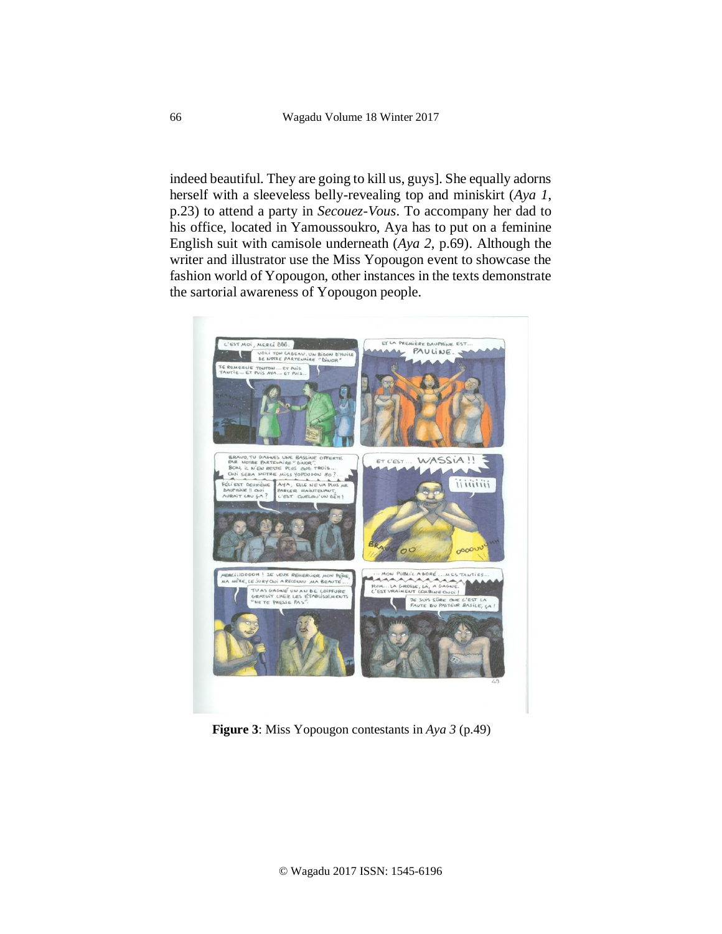indeed beautiful. They are going to kill us, guys]. She equally adorns herself with a sleeveless belly-revealing top and miniskirt (*Aya 1*, p.23) to attend a party in *Secouez-Vous*. To accompany her dad to his office, located in Yamoussoukro, Aya has to put on a feminine English suit with camisole underneath (*Aya 2*, p.69). Although the writer and illustrator use the Miss Yopougon event to showcase the fashion world of Yopougon, other instances in the texts demonstrate the sartorial awareness of Yopougon people.



**Figure 3**: Miss Yopougon contestants in *Aya 3* (p.49)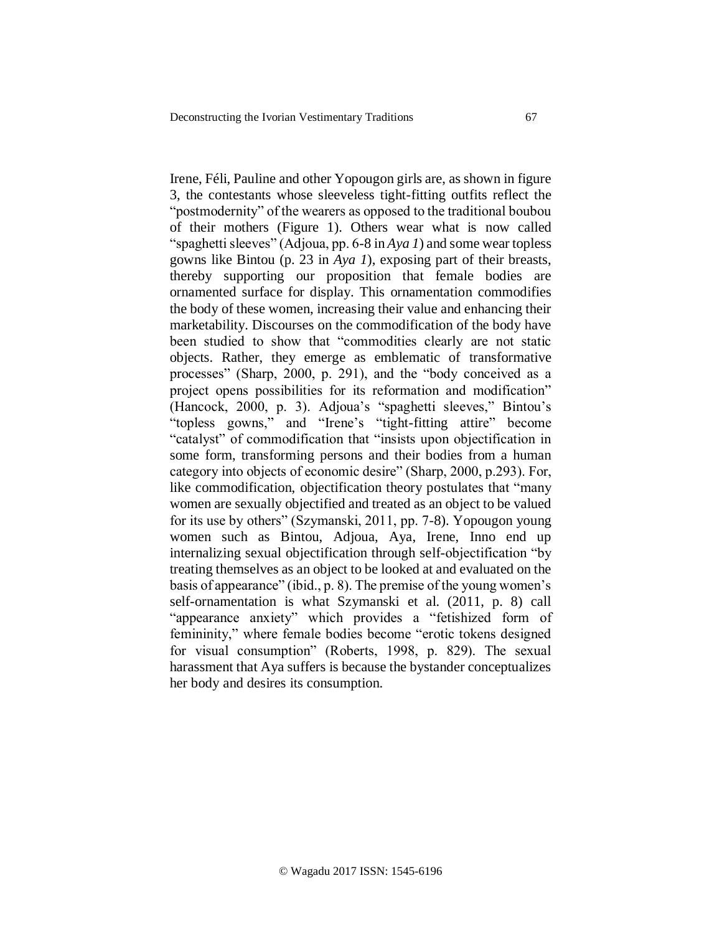Irene, Féli, Pauline and other Yopougon girls are, as shown in figure 3, the contestants whose sleeveless tight-fitting outfits reflect the "postmodernity" of the wearers as opposed to the traditional boubou of their mothers (Figure 1). Others wear what is now called "spaghetti sleeves" (Adjoua, pp. 6-8 in *Aya 1*) and some wear topless gowns like Bintou (p. 23 in *Aya 1*), exposing part of their breasts, thereby supporting our proposition that female bodies are ornamented surface for display. This ornamentation commodifies the body of these women, increasing their value and enhancing their marketability. Discourses on the commodification of the body have been studied to show that "commodities clearly are not static objects. Rather, they emerge as emblematic of transformative processes" (Sharp, 2000, p. 291), and the "body conceived as a project opens possibilities for its reformation and modification" (Hancock, 2000, p. 3). Adjoua's "spaghetti sleeves," Bintou's "topless gowns," and "Irene's "tight-fitting attire" become "catalyst" of commodification that "insists upon objectification in some form, transforming persons and their bodies from a human category into objects of economic desire" (Sharp, 2000, p.293). For, like commodification, objectification theory postulates that "many women are sexually objectified and treated as an object to be valued for its use by others" (Szymanski, 2011, pp. 7-8). Yopougon young women such as Bintou, Adjoua, Aya, Irene, Inno end up internalizing sexual objectification through self-objectification "by treating themselves as an object to be looked at and evaluated on the basis of appearance" (ibid., p. 8). The premise of the young women's self-ornamentation is what Szymanski et al. (2011, p. 8) call "appearance anxiety" which provides a "fetishized form of femininity," where female bodies become "erotic tokens designed for visual consumption" (Roberts, 1998, p. 829). The sexual harassment that Aya suffers is because the bystander conceptualizes her body and desires its consumption.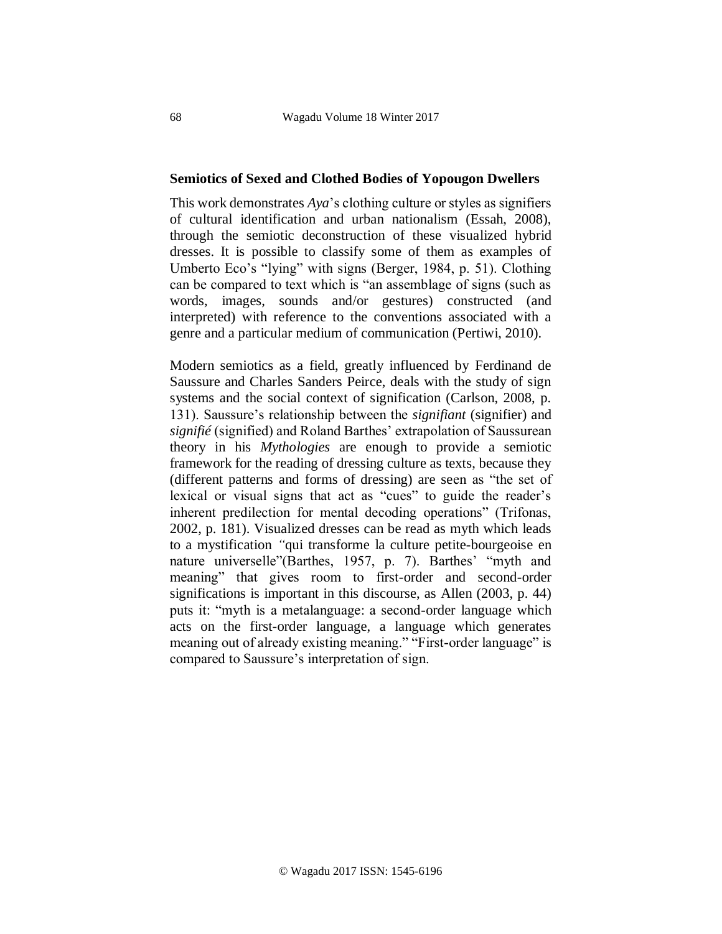## **Semiotics of Sexed and Clothed Bodies of Yopougon Dwellers**

This work demonstrates *Aya*'s clothing culture or styles as signifiers of cultural identification and urban nationalism (Essah, 2008), through the semiotic deconstruction of these visualized hybrid dresses. It is possible to classify some of them as examples of Umberto Eco's "lying" with signs (Berger, 1984, p. 51). Clothing can be compared to text which is "an assemblage of signs (such as words, images, sounds and/or gestures) constructed (and interpreted) with reference to the conventions associated with a genre and a particular medium of communication (Pertiwi, 2010).

Modern semiotics as a field, greatly influenced by Ferdinand de Saussure and Charles Sanders Peirce, deals with the study of sign systems and the social context of signification (Carlson, 2008, p. 131). Saussure's relationship between the *signifiant* (signifier) and *signifié* (signified) and Roland Barthes' extrapolation of Saussurean theory in his *Mythologies* are enough to provide a semiotic framework for the reading of dressing culture as texts, because they (different patterns and forms of dressing) are seen as "the set of lexical or visual signs that act as "cues" to guide the reader's inherent predilection for mental decoding operations" (Trifonas, 2002, p. 181). Visualized dresses can be read as myth which leads to a mystification *"*qui transforme la culture petite-bourgeoise en nature universelle"(Barthes, 1957, p. 7). Barthes' "myth and meaning" that gives room to first-order and second-order significations is important in this discourse, as Allen (2003, p. 44) puts it: "myth is a metalanguage: a second-order language which acts on the first-order language, a language which generates meaning out of already existing meaning." "First-order language" is compared to Saussure's interpretation of sign.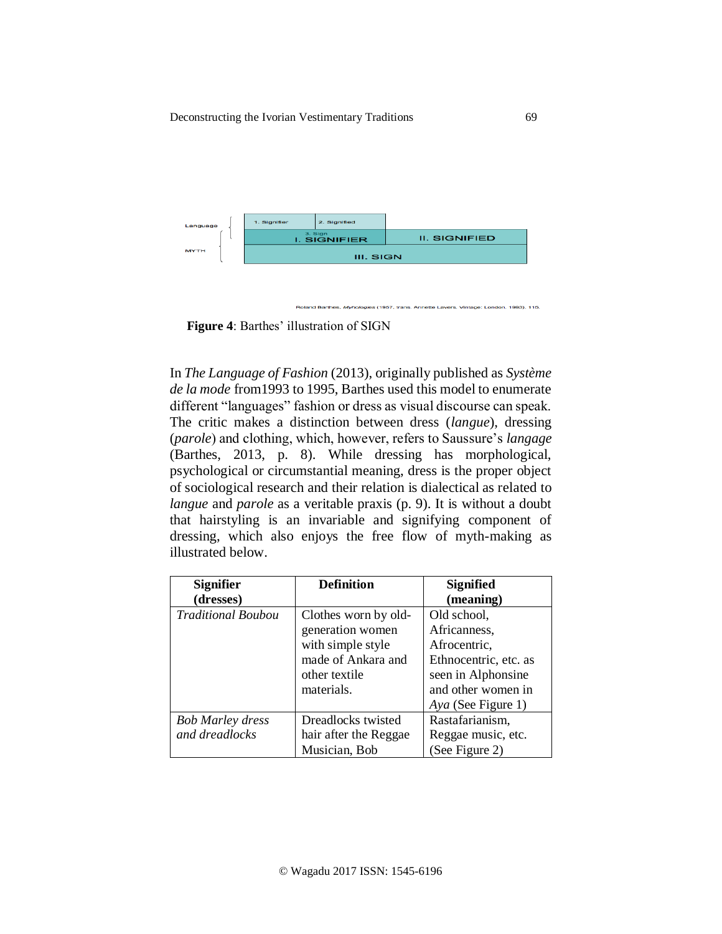

**Figure 4**: Barthes' illustration of SIGN

In *The Language of Fashion* (2013), originally published as *Système de la mode* from1993 to 1995, Barthes used this model to enumerate different "languages" fashion or dress as visual discourse can speak. The critic makes a distinction between dress (*langue*), dressing (*parole*) and clothing, which, however, refers to Saussure's *langage*  (Barthes, 2013, p. 8). While dressing has morphological, psychological or circumstantial meaning, dress is the proper object of sociological research and their relation is dialectical as related to *langue* and *parole* as a veritable praxis (p. 9). It is without a doubt that hairstyling is an invariable and signifying component of dressing, which also enjoys the free flow of myth-making as illustrated below.

| <b>Signifier</b>          | <b>Definition</b>     | <b>Signified</b>      |
|---------------------------|-----------------------|-----------------------|
| (dresses)                 |                       | (meaning)             |
| <b>Traditional Boubou</b> | Clothes worn by old-  | Old school,           |
|                           | generation women      | Africanness,          |
|                           | with simple style     | Afrocentric,          |
|                           | made of Ankara and    | Ethnocentric, etc. as |
|                           | other textile         | seen in Alphonsine    |
|                           | materials.            | and other women in    |
|                           |                       | Aya (See Figure 1)    |
| <b>Bob Marley dress</b>   | Dreadlocks twisted    | Rastafarianism,       |
| and dreadlocks            | hair after the Reggae | Reggae music, etc.    |
|                           | Musician, Bob         | (See Figure 2)        |

ette Lavers, Vintage: London, 1993), 115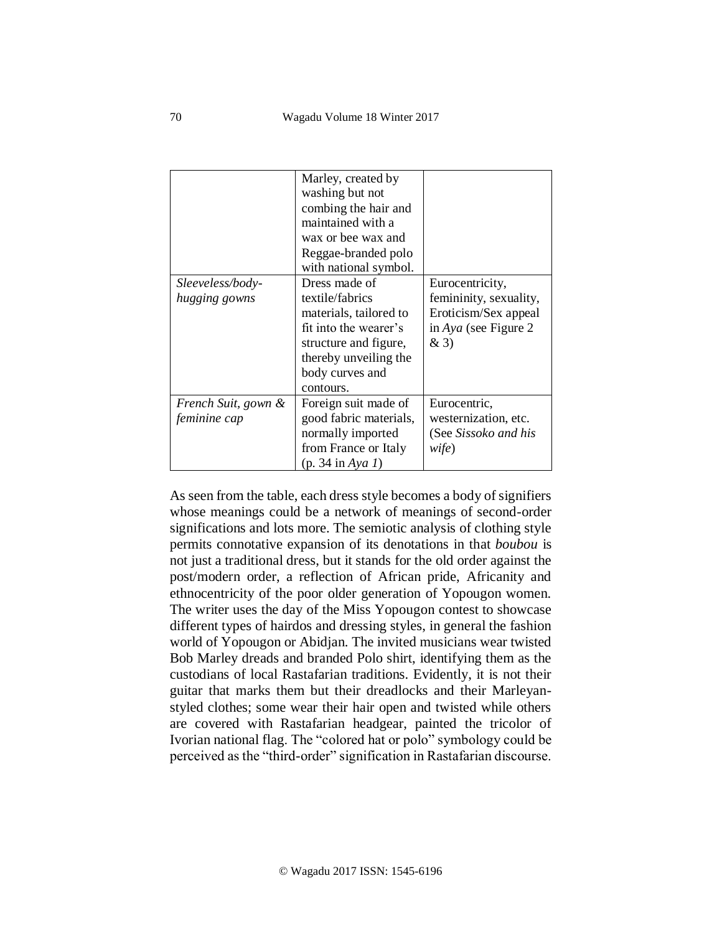|                     | Marley, created by<br>washing but not<br>combing the hair and<br>maintained with a<br>wax or bee wax and<br>Reggae-branded polo |                        |
|---------------------|---------------------------------------------------------------------------------------------------------------------------------|------------------------|
|                     | with national symbol.                                                                                                           |                        |
| Sleeveless/body-    | Dress made of                                                                                                                   | Eurocentricity,        |
| hugging gowns       | textile/fabrics                                                                                                                 | femininity, sexuality, |
|                     | materials, tailored to                                                                                                          | Eroticism/Sex appeal   |
|                     | fit into the wearer's                                                                                                           | in Aya (see Figure 2   |
|                     | structure and figure,                                                                                                           | &3)                    |
|                     | thereby unveiling the                                                                                                           |                        |
|                     | body curves and                                                                                                                 |                        |
|                     | contours.                                                                                                                       |                        |
| French Suit, gown & | Foreign suit made of                                                                                                            | Eurocentric,           |
| feminine cap        | good fabric materials,                                                                                                          | westernization, etc.   |
|                     | normally imported                                                                                                               | (See Sissoko and his   |
|                     | from France or Italy                                                                                                            | wife)                  |
|                     | $(p. 34 \text{ in } Aya 1)$                                                                                                     |                        |

As seen from the table, each dress style becomes a body of signifiers whose meanings could be a network of meanings of second-order significations and lots more. The semiotic analysis of clothing style permits connotative expansion of its denotations in that *boubou* is not just a traditional dress, but it stands for the old order against the post/modern order, a reflection of African pride, Africanity and ethnocentricity of the poor older generation of Yopougon women. The writer uses the day of the Miss Yopougon contest to showcase different types of hairdos and dressing styles, in general the fashion world of Yopougon or Abidjan. The invited musicians wear twisted Bob Marley dreads and branded Polo shirt, identifying them as the custodians of local Rastafarian traditions. Evidently, it is not their guitar that marks them but their dreadlocks and their Marleyanstyled clothes; some wear their hair open and twisted while others are covered with Rastafarian headgear, painted the tricolor of Ivorian national flag. The "colored hat or polo" symbology could be perceived as the "third-order" signification in Rastafarian discourse.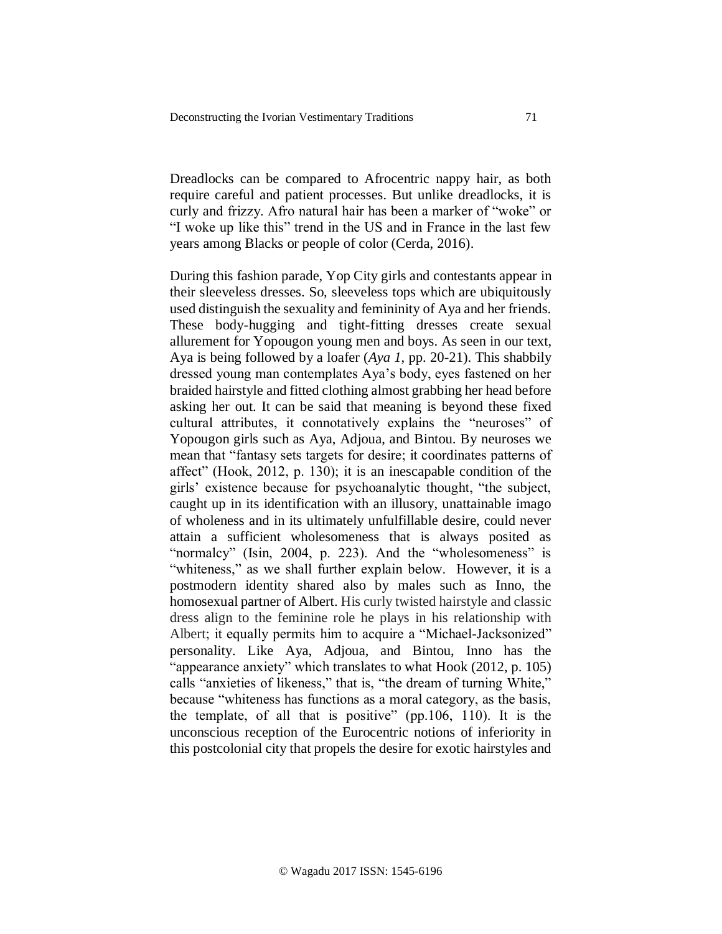Dreadlocks can be compared to Afrocentric nappy hair, as both require careful and patient processes. But unlike dreadlocks, it is curly and frizzy. Afro natural hair has been a marker of "woke" or "I woke up like this" trend in the US and in France in the last few years among Blacks or people of color (Cerda, 2016).

During this fashion parade, Yop City girls and contestants appear in their sleeveless dresses. So, sleeveless tops which are ubiquitously used distinguish the sexuality and femininity of Aya and her friends. These body-hugging and tight-fitting dresses create sexual allurement for Yopougon young men and boys. As seen in our text, Aya is being followed by a loafer (*Aya 1*, pp. 20-21). This shabbily dressed young man contemplates Aya's body, eyes fastened on her braided hairstyle and fitted clothing almost grabbing her head before asking her out. It can be said that meaning is beyond these fixed cultural attributes, it connotatively explains the "neuroses" of Yopougon girls such as Aya, Adjoua, and Bintou. By neuroses we mean that "fantasy sets targets for desire; it coordinates patterns of affect" (Hook, 2012, p. 130); it is an inescapable condition of the girls' existence because for psychoanalytic thought, "the subject, caught up in its identification with an illusory, unattainable imago of wholeness and in its ultimately unfulfillable desire, could never attain a sufficient wholesomeness that is always posited as "normalcy" (Isin, 2004, p. 223). And the "wholesomeness" is "whiteness," as we shall further explain below. However, it is a postmodern identity shared also by males such as Inno, the homosexual partner of Albert. His curly twisted hairstyle and classic dress align to the feminine role he plays in his relationship with Albert; it equally permits him to acquire a "Michael-Jacksonized" personality. Like Aya, Adjoua, and Bintou, Inno has the "appearance anxiety" which translates to what Hook (2012, p. 105) calls "anxieties of likeness," that is, "the dream of turning White," because "whiteness has functions as a moral category, as the basis, the template, of all that is positive" (pp.106, 110). It is the unconscious reception of the Eurocentric notions of inferiority in this postcolonial city that propels the desire for exotic hairstyles and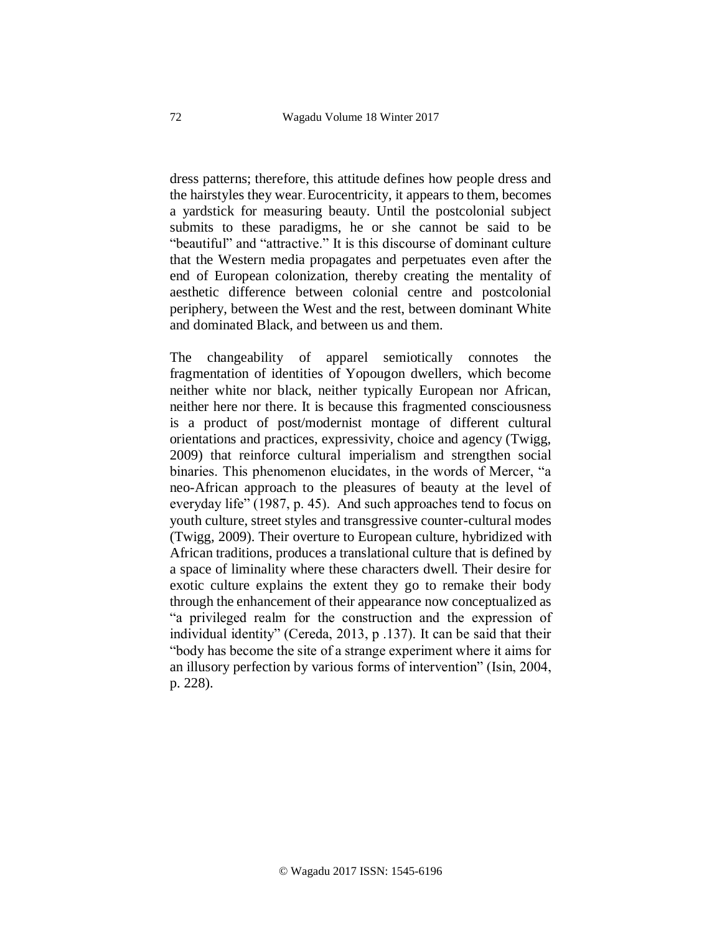dress patterns; therefore, this attitude defines how people dress and the hairstyles they wear. Eurocentricity, it appears to them, becomes a yardstick for measuring beauty. Until the postcolonial subject submits to these paradigms, he or she cannot be said to be "beautiful" and "attractive." It is this discourse of dominant culture that the Western media propagates and perpetuates even after the end of European colonization, thereby creating the mentality of aesthetic difference between colonial centre and postcolonial periphery, between the West and the rest, between dominant White and dominated Black, and between us and them.

The changeability of apparel semiotically connotes the fragmentation of identities of Yopougon dwellers, which become neither white nor black, neither typically European nor African, neither here nor there. It is because this fragmented consciousness is a product of post/modernist montage of different cultural orientations and practices, expressivity, choice and agency (Twigg, 2009) that reinforce cultural imperialism and strengthen social binaries. This phenomenon elucidates, in the words of Mercer, "a neo-African approach to the pleasures of beauty at the level of everyday life" (1987, p. 45). And such approaches tend to focus on youth culture, street styles and transgressive counter-cultural modes (Twigg, 2009). Their overture to European culture, hybridized with African traditions, produces a translational culture that is defined by a space of liminality where these characters dwell. Their desire for exotic culture explains the extent they go to remake their body through the enhancement of their appearance now conceptualized as "a privileged realm for the construction and the expression of individual identity" (Cereda, 2013, p .137). It can be said that their "body has become the site of a strange experiment where it aims for an illusory perfection by various forms of intervention" (Isin, 2004, p. 228).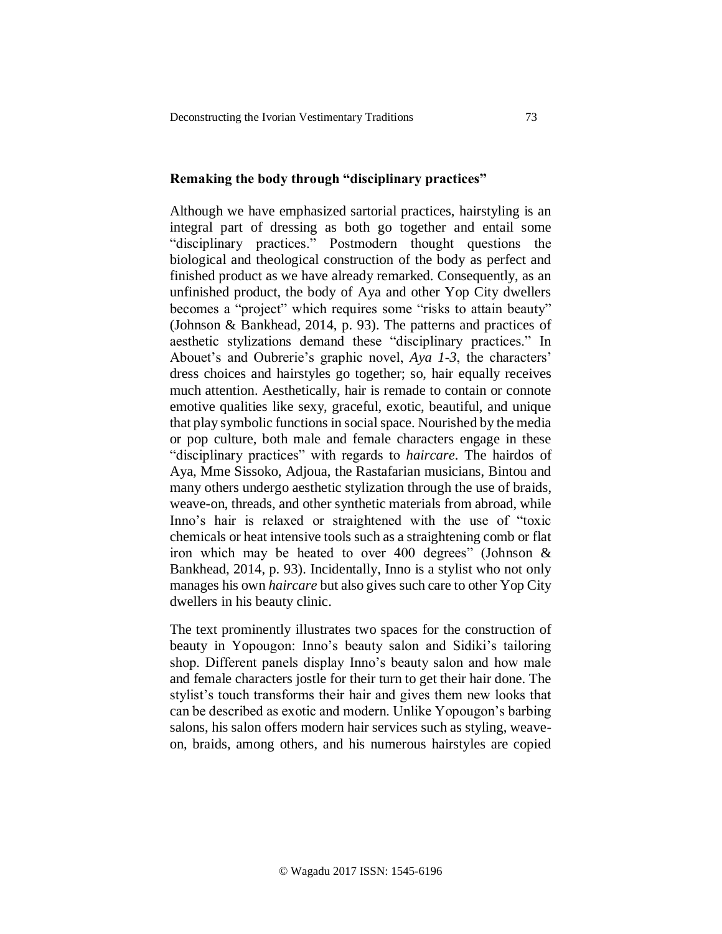## **Remaking the body through "disciplinary practices"**

Although we have emphasized sartorial practices, hairstyling is an integral part of dressing as both go together and entail some "disciplinary practices." Postmodern thought questions the biological and theological construction of the body as perfect and finished product as we have already remarked. Consequently, as an unfinished product, the body of Aya and other Yop City dwellers becomes a "project" which requires some "risks to attain beauty" (Johnson & Bankhead, 2014, p. 93). The patterns and practices of aesthetic stylizations demand these "disciplinary practices." In Abouet's and Oubrerie's graphic novel, *Aya 1-3*, the characters' dress choices and hairstyles go together; so, hair equally receives much attention. Aesthetically, hair is remade to contain or connote emotive qualities like sexy, graceful, exotic, beautiful, and unique that play symbolic functions in social space. Nourished by the media or pop culture, both male and female characters engage in these "disciplinary practices" with regards to *haircare*. The hairdos of Aya, Mme Sissoko, Adjoua, the Rastafarian musicians, Bintou and many others undergo aesthetic stylization through the use of braids, weave-on, threads, and other synthetic materials from abroad, while Inno's hair is relaxed or straightened with the use of "toxic chemicals or heat intensive tools such as a straightening comb or flat iron which may be heated to over 400 degrees" (Johnson & Bankhead, 2014, p. 93). Incidentally, Inno is a stylist who not only manages his own *haircare* but also gives such care to other Yop City dwellers in his beauty clinic.

The text prominently illustrates two spaces for the construction of beauty in Yopougon: Inno's beauty salon and Sidiki's tailoring shop. Different panels display Inno's beauty salon and how male and female characters jostle for their turn to get their hair done. The stylist's touch transforms their hair and gives them new looks that can be described as exotic and modern. Unlike Yopougon's barbing salons, his salon offers modern hair services such as styling, weaveon, braids, among others, and his numerous hairstyles are copied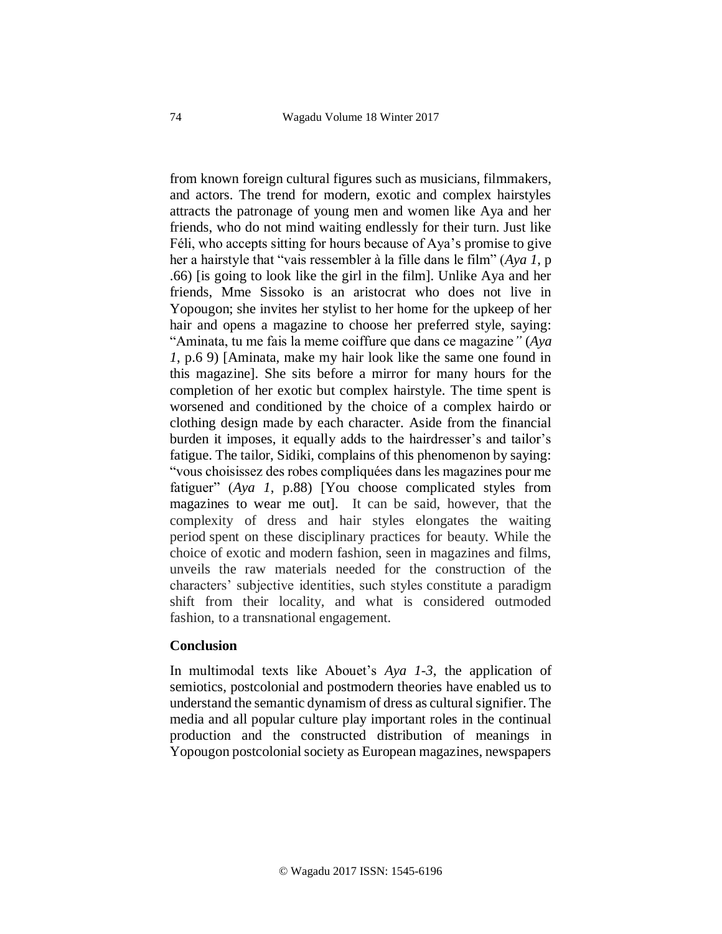from known foreign cultural figures such as musicians, filmmakers, and actors. The trend for modern, exotic and complex hairstyles attracts the patronage of young men and women like Aya and her friends, who do not mind waiting endlessly for their turn. Just like Féli, who accepts sitting for hours because of Aya's promise to give her a hairstyle that "vais ressembler à la fille dans le film" (*Aya 1*, p .66) [is going to look like the girl in the film]. Unlike Aya and her friends, Mme Sissoko is an aristocrat who does not live in Yopougon; she invites her stylist to her home for the upkeep of her hair and opens a magazine to choose her preferred style, saying: "Aminata, tu me fais la meme coiffure que dans ce magazine*"* (*Aya 1*, p.6 9) [Aminata, make my hair look like the same one found in this magazine]. She sits before a mirror for many hours for the completion of her exotic but complex hairstyle. The time spent is worsened and conditioned by the choice of a complex hairdo or clothing design made by each character. Aside from the financial burden it imposes, it equally adds to the hairdresser's and tailor's fatigue. The tailor, Sidiki, complains of this phenomenon by saying: "vous choisissez des robes compliquées dans les magazines pour me fatiguer" (*Aya 1*, p.88) [You choose complicated styles from magazines to wear me out]. It can be said, however, that the complexity of dress and hair styles elongates the waiting period spent on these disciplinary practices for beauty. While the choice of exotic and modern fashion, seen in magazines and films, unveils the raw materials needed for the construction of the characters' subjective identities, such styles constitute a paradigm shift from their locality, and what is considered outmoded fashion, to a transnational engagement.

#### **Conclusion**

In multimodal texts like Abouet's *Aya 1-3*, the application of semiotics, postcolonial and postmodern theories have enabled us to understand the semantic dynamism of dress as cultural signifier. The media and all popular culture play important roles in the continual production and the constructed distribution of meanings in Yopougon postcolonial society as European magazines, newspapers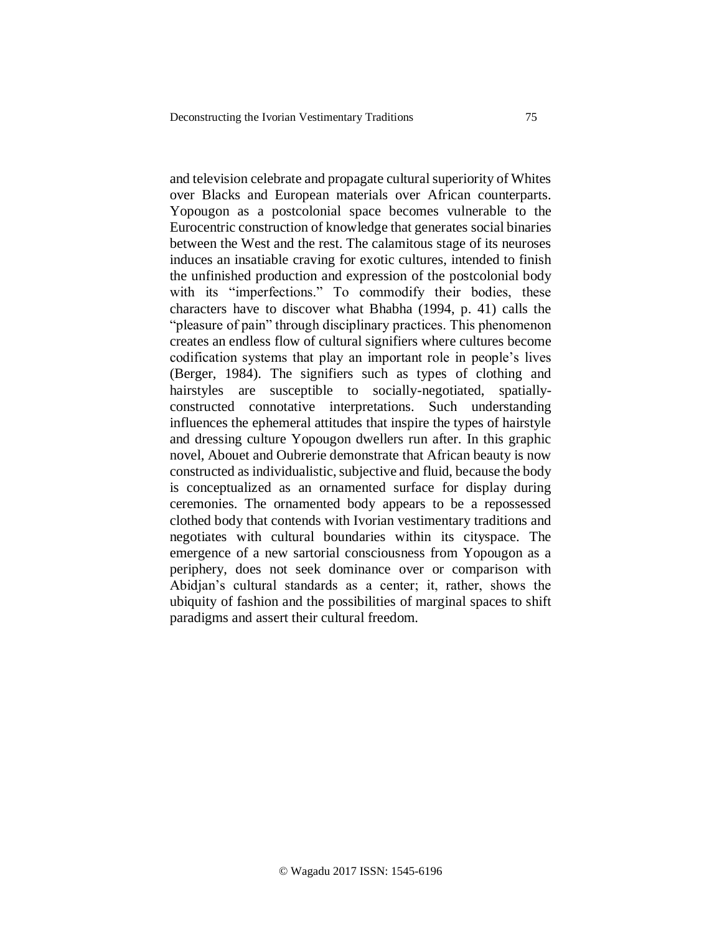and television celebrate and propagate cultural superiority of Whites over Blacks and European materials over African counterparts. Yopougon as a postcolonial space becomes vulnerable to the Eurocentric construction of knowledge that generates social binaries between the West and the rest. The calamitous stage of its neuroses induces an insatiable craving for exotic cultures, intended to finish the unfinished production and expression of the postcolonial body with its "imperfections." To commodify their bodies, these characters have to discover what Bhabha (1994, p. 41) calls the "pleasure of pain" through disciplinary practices. This phenomenon creates an endless flow of cultural signifiers where cultures become codification systems that play an important role in people's lives (Berger, 1984). The signifiers such as types of clothing and hairstyles are susceptible to socially-negotiated, spatiallyconstructed connotative interpretations. Such understanding influences the ephemeral attitudes that inspire the types of hairstyle and dressing culture Yopougon dwellers run after. In this graphic novel, Abouet and Oubrerie demonstrate that African beauty is now constructed as individualistic, subjective and fluid, because the body is conceptualized as an ornamented surface for display during ceremonies. The ornamented body appears to be a repossessed clothed body that contends with Ivorian vestimentary traditions and negotiates with cultural boundaries within its cityspace. The emergence of a new sartorial consciousness from Yopougon as a periphery, does not seek dominance over or comparison with Abidjan's cultural standards as a center; it, rather, shows the ubiquity of fashion and the possibilities of marginal spaces to shift paradigms and assert their cultural freedom.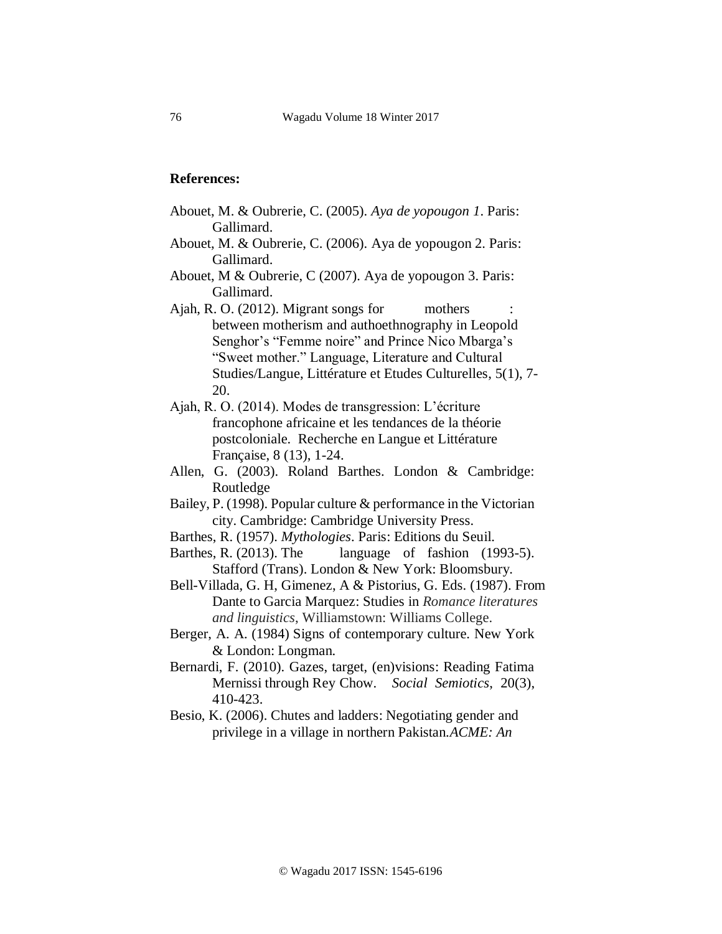## **References:**

- Abouet, M. & Oubrerie, C. (2005). *Aya de yopougon 1*. Paris: Gallimard.
- Abouet, M. & Oubrerie, C. (2006). Aya de yopougon 2. Paris: Gallimard.
- Abouet, M & Oubrerie, C (2007). Aya de yopougon 3. Paris: Gallimard.
- Ajah, R. O. (2012). Migrant songs for mothers between motherism and authoethnography in Leopold Senghor's "Femme noire" and Prince Nico Mbarga's "Sweet mother." Language, Literature and Cultural Studies/Langue, Littérature et Etudes Culturelles, 5(1), 7- 20.
- Ajah, R. O. (2014). Modes de transgression: L'écriture francophone africaine et les tendances de la théorie postcoloniale. Recherche en Langue et Littérature Française, 8 (13), 1-24.
- Allen, G. (2003). Roland Barthes. London & Cambridge: Routledge
- Bailey, P. (1998). Popular culture & performance in the Victorian city. Cambridge: Cambridge University Press.
- Barthes, R. (1957). *Mythologies*. Paris: Editions du Seuil.
- Barthes, R. (2013). The language of fashion (1993-5). Stafford (Trans). London & New York: Bloomsbury.
- Bell-Villada, G. H, Gimenez, A & Pistorius, G. Eds. (1987). From Dante to Garcia Marquez: Studies in *Romance literatures and linguistics*, Williamstown: Williams College.
- Berger, A. A. (1984) Signs of contemporary culture. New York & London: Longman.
- Bernardi, F. (2010). Gazes, target, (en)visions: Reading Fatima Mernissi through Rey Chow. *Social Semiotics*, 20(3), 410-423.
- Besio, K. (2006). Chutes and ladders: Negotiating gender and privilege in a village in northern Pakistan.*ACME: An*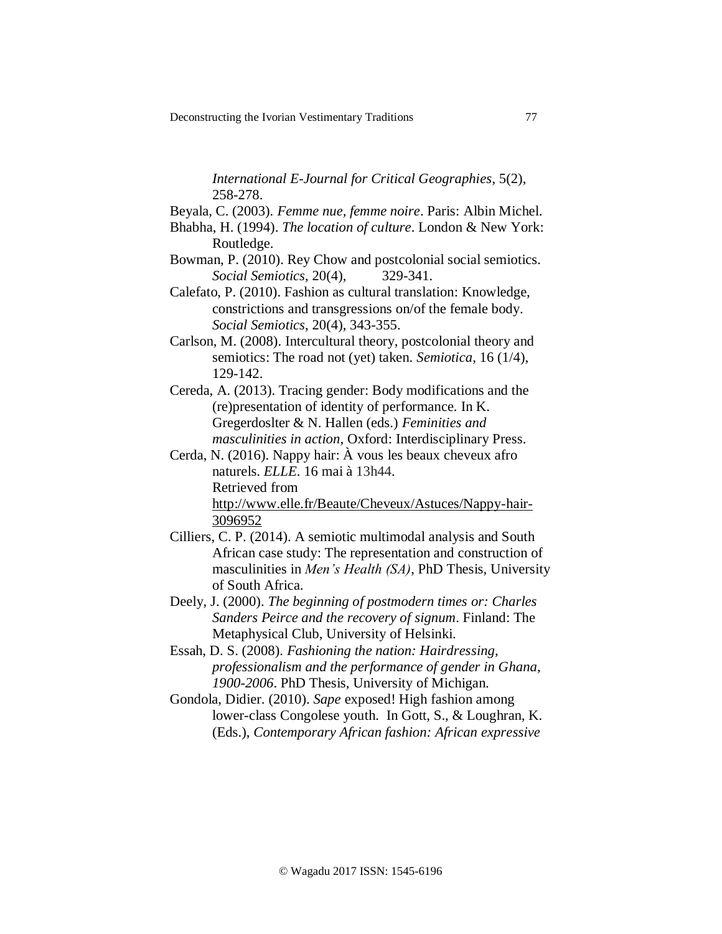*International E-Journal for Critical Geographies*, 5(2), 258-278.

- Beyala, C. (2003). *Femme nue, femme noire*. Paris: Albin Michel.
- Bhabha, H. (1994). *The location of culture*. London & New York: Routledge.
- Bowman, P. (2010). Rey Chow and postcolonial social semiotics. *Social Semiotics*, 20(4), 329-341.
- Calefato, P. (2010). Fashion as cultural translation: Knowledge, constrictions and transgressions on/of the female body. *Social Semiotics*, 20(4), 343-355.
- Carlson, M. (2008). Intercultural theory, postcolonial theory and semiotics: The road not (yet) taken. *Semiotica*, 16 (1/4), 129-142.
- Cereda, A. (2013). Tracing gender: Body modifications and the (re)presentation of identity of performance. In K. Gregerdoslter & N. Hallen (eds.) *Feminities and masculinities in action*, Oxford: Interdisciplinary Press.
- Cerda, N. (2016). Nappy hair: À vous les beaux cheveux afro naturels. *ELLE*. 16 mai à 13h44. Retrieved from [http://www.elle.fr/Beaute/Cheveux/Astuces/Nappy-hair-](http://www.elle.fr/Beaute/Cheveux/Astuces/Nappy-hair-3096952)[3096952](http://www.elle.fr/Beaute/Cheveux/Astuces/Nappy-hair-3096952)
- Cilliers, C. P. (2014). A semiotic multimodal analysis and South African case study: The representation and construction of masculinities in *Men's Health (SA)*, PhD Thesis, University of South Africa.
- Deely, J. (2000). *The beginning of postmodern times or: Charles Sanders Peirce and the recovery of signum*. Finland: The Metaphysical Club, University of Helsinki.
- Essah, D. S. (2008). *Fashioning the nation: Hairdressing, professionalism and the performance of gender in Ghana, 1900-2006*. PhD Thesis, University of Michigan.
- Gondola, Didier. (2010). *Sape* exposed! High fashion among lower-class Congolese youth. In Gott, S., & Loughran, K. (Eds.), *Contemporary African fashion: African expressive*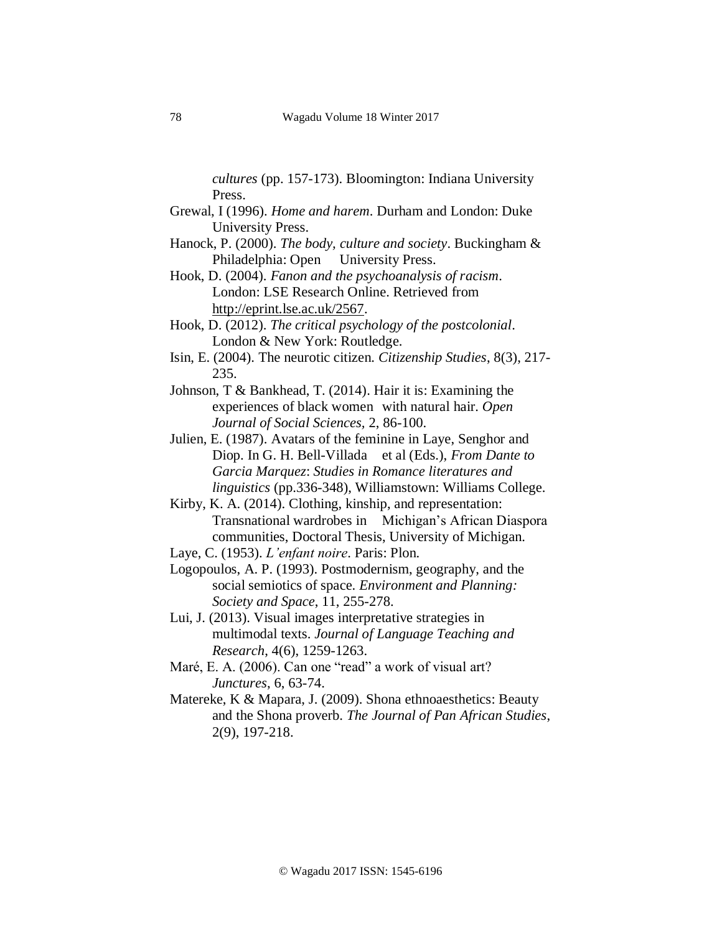*cultures* (pp. 157-173). Bloomington: Indiana University Press.

- Grewal, I (1996). *Home and harem*. Durham and London: Duke University Press.
- Hanock, P. (2000). *The body, culture and society*. Buckingham & Philadelphia: Open University Press.
- Hook, D. (2004). *Fanon and the psychoanalysis of racism*. London: LSE Research Online. Retrieved from [http://eprint.lse.ac.uk/2567.](http://eprint.lse.ac.uk/2567)
- Hook, D. (2012). *The critical psychology of the postcolonial*. London & New York: Routledge.
- Isin, E. (2004). The neurotic citizen. *Citizenship Studies*, 8(3), 217- 235.
- Johnson, T & Bankhead, T. (2014). Hair it is: Examining the experiences of black women with natural hair. *Open Journal of Social Sciences,* 2, 86-100.
- Julien, E. (1987). Avatars of the feminine in Laye, Senghor and Diop. In G. H. Bell-Villada et al (Eds.), *From Dante to Garcia Marquez*: *Studies in Romance literatures and linguistics* (pp.336-348), Williamstown: Williams College.
- Kirby, K. A. (2014). Clothing, kinship, and representation: Transnational wardrobes in Michigan's African Diaspora communities, Doctoral Thesis, University of Michigan.
- Laye, C. (1953). *L'enfant noire*. Paris: Plon.
- Logopoulos, A. P. (1993). Postmodernism, geography, and the social semiotics of space. *Environment and Planning: Society and Space*, 11, 255-278.
- Lui, J. (2013). Visual images interpretative strategies in multimodal texts. *Journal of Language Teaching and Research*, 4(6), 1259-1263.
- Maré, E. A. (2006). Can one "read" a work of visual art? *Junctures*, 6, 63-74.
- Matereke, K & Mapara, J. (2009). Shona ethnoaesthetics: Beauty and the Shona proverb. *The Journal of Pan African Studies*, 2(9), 197-218.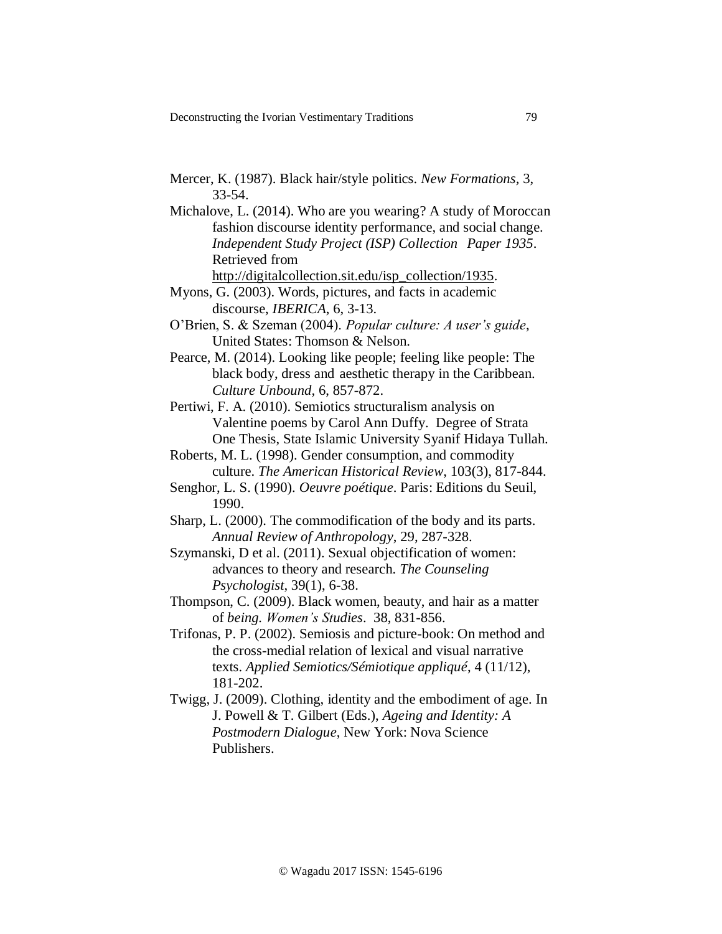- Mercer, K. (1987). Black hair/style politics. *New Formations,* 3, 33-54.
- Michalove, L. (2014). Who are you wearing? A study of Moroccan fashion discourse identity performance, and social change. *Independent Study Project (ISP) Collection Paper 1935*. Retrieved from [http://digitalcollection.sit.edu/isp\\_collection/1935.](http://digitalcollection.sit.edu/isp_collection/1935)
- Myons, G. (2003). Words, pictures, and facts in academic discourse, *IBERICA*, 6, 3-13.
- O'Brien, S. & Szeman (2004). *Popular culture: A user's guide*, United States: Thomson & Nelson.
- Pearce, M. (2014). Looking like people; feeling like people: The black body, dress and aesthetic therapy in the Caribbean. *Culture Unbound,* 6, 857-872.
- Pertiwi, F. A. (2010). Semiotics structuralism analysis on Valentine poems by Carol Ann Duffy. Degree of Strata One Thesis, State Islamic University Syanif Hidaya Tullah.
- Roberts, M. L. (1998). Gender consumption, and commodity culture. *The American Historical Review*, 103(3), 817-844.
- Senghor, L. S. (1990). *Oeuvre poétique*. Paris: Editions du Seuil, 1990.
- Sharp, L. (2000). The commodification of the body and its parts. *Annual Review of Anthropology*, 29, 287-328.
- Szymanski, D et al. (2011). Sexual objectification of women: advances to theory and research. *The Counseling Psychologist*, 39(1), 6-38.
- Thompson, C. (2009). Black women, beauty, and hair as a matter of *being. Women's Studies*. 38, 831-856.
- Trifonas, P. P. (2002). Semiosis and picture-book: On method and the cross-medial relation of lexical and visual narrative texts. *Applied Semiotics/Sémiotique appliqué*, 4 (11/12), 181-202.
- Twigg, J. (2009). Clothing, identity and the embodiment of age. In J. Powell & T. Gilbert (Eds.), *Ageing and Identity: A Postmodern Dialogue*, New York: Nova Science Publishers.